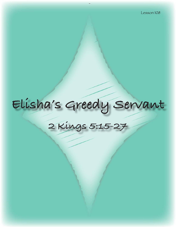# **Elisha's Greedy Servant**

## **2 Kings 5:15-27**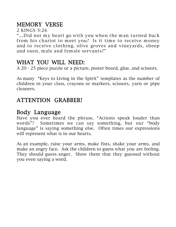### MEMORY VERSE

2 KINGS 5:26

"…Did not my heart go with you when the man turned back from his chariot to meet you? Is it time to receive money and to receive clothing, olive groves and vineyards, sheep and oxen, male and female servants?"

#### WHAT YOU WILL NEED:

A 20 - 25 piece puzzle or a picture, poster board, glue, and scissors.

As many "Keys to Living in the Spirit" templates as the number of children in your class, crayons or markers, scissors, yarn or pipe cleaners.

#### ATTENTION GRABBER!

#### Body Language

Have you ever heard the phrase, "Actions speak louder than words"? Sometimes we can say something, but our "body language" is saying something else. Often times our expressions will represent what is in our hearts.

As an example, raise your arms, make fists, shake your arms, and make an angry face. Ask the children to guess what you are feeling. They should guess anger. Show them that they guessed without you even saying a word.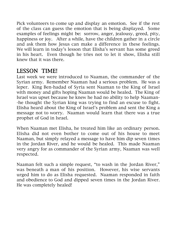Pick volunteers to come up and display an emotion. See if the rest of the class can guess the emotion that is being displayed. Some examples of feelings might be: sorrow, anger, jealousy, greed, pity, happiness or joy. After a while, have the children gather in a circle and ask them how Jesus can make a difference in these feelings. We will learn in today's lesson that Elisha's servant has some greed in his heart. Even though he tries not to let it show, Elisha still knew that it was there.

#### LESSON TIME!

Last week we were introduced to Naaman, the commander of the Syrian army. Remember Naaman had a serious problem. He was a leper. King Ben-hadad of Syria sent Naaman to the King of Israel with money and gifts hoping Naaman would be healed. The King of Israel was upset because he knew he had no ability to help Naaman- -he thought the Syrian king was trying to find an excuse to fight. Elisha heard about the King of Israel's problem and sent the King a message not to worry. Naaman would learn that there was a true prophet of God in Israel.

When Naaman met Elisha, he treated him like an ordinary person. Elisha did not even bother to come out of his house to meet Naaman, but simply relayed a message to have him dip seven times in the Jordan River, and he would be healed. This made Naaman very angry for as commander of the Syrian army, Naaman was well respected.

Naaman felt such a simple request, "to wash in the Jordan River," was beneath a man of his position. However, his wise servants urged him to do as Elisha requested. Naaman responded in faith and obedience to God and dipped seven times in the Jordan River. He was completely healed!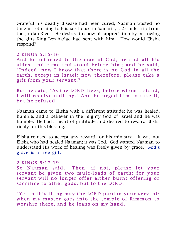Grateful his deadly disease had been cured, Naaman wasted no time in returning to Elisha's house in Samaria, a 25 mile trip from the Jordan River. He desired to show his appreciation by bestowing the gifts King Ben-hadad had sent with him. How would Elisha respond?

#### 2 KINGS 5:15-16

And he returned to the man of God, he and all his aides, and came and stood before him; and he said, "Indeed, now I know that there is no God in all the earth, except in Israel; now therefore, please take a gift from your servant."

But he said, "As the LORD lives, before whom I stand, I will receive nothing." And he urged him to take it, but he refused.

Naaman came to Elisha with a different attitude; he was healed, humble, and a believer in the mighty God of Israel and he was humble. He had a heart of gratitude and desired to reward Elisha richly for this blessing.

Elisha refused to accept any reward for his ministry. It was not Elisha who had healed Naaman; it was God. God wanted Naaman to understand His work of healing was freely given by grace. God's grace is a free gift.

#### 2 KINGS 5:17-19

So Naaman said, "Then, if not, please let your servant be given two mule-loads of earth; for your servant will no longer offer either burnt offering or sacrifice to other gods, but to the LORD.

"Yet in this thing may the LORD pardon your servant: when my master goes into the temple of Rimmon to worship there, and he leans on my hand,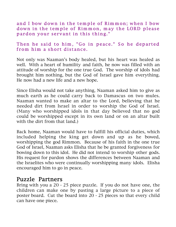and I bow down in the temple of Rimmon; when I bow down in the temple of Rimmon, may the LORD please pardon your servant in this thing."

#### Then he said to him, "Go in peace." So he departed from him a short distance.

Not only was Naaman's body healed, but his heart was healed as well. With a heart of humility and faith, he now was filled with an attitude of worship for the one true God. The worship of idols had brought him nothing, but the God of Israel gave him everything. He now had a new life and a new hope.

Since Elisha would not take anything, Naaman asked him to give as much earth as he could carry back to Damascus on two mules. Naaman wanted to make an altar to the Lord, believing that he needed dirt from Israel in order to worship the God of Israel. (Many who worshipped idols in that day believed that no god could be worshipped except in its own land or on an altar built with the dirt from that land.)

Back home, Naaman would have to fulfill his official duties, which included helping the king get down and up as he bowed, worshipping the god Rimmon. Because of his faith in the one true God of Israel, Naaman asks Elisha that he be granted forgiveness for bowing down to this idol. He did not intend to worship other gods. His request for pardon shows the differences between Naaman and the Israelites who were continually worshipping many idols. Elisha encouraged him to go in peace.

#### Puzzle Partners

Bring with you a 20 - 25 piece puzzle. If you do not have one, the children can make one by pasting a large picture to a piece of poster board. Cut the board into 20 - 25 pieces so that every child can have one piece.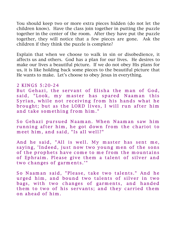You should keep two or more extra pieces hidden (do not let the children know). Have the class join together in putting the puzzle together in the center of the room. After they have put the puzzle together, they will notice that a few pieces are gone. Ask the children if they think the puzzle is complete?

Explain that when we choose to walk in sin or disobedience, it affects us and others. God has a plan for our lives. He desires to make our lives a beautiful picture. If we do not obey His plans for us, it is like holding back some pieces to the beautiful picture that He wants to make. Let's choose to obey Jesus in everything.

#### 2 KINGS 5:20-24

But Gehazi, the servant of Elisha the man of God, said, "Look, my master has spared Naaman this Syrian, while not receiving from his hands what he brought; but as the LORD lives, I will run after him and take something from him."

So Gehazi pursued Naaman. When Naaman saw him running after him, he got down from the chariot to meet him, and said, "Is all well?"

And he said, "All is well. My master has sent me, saying, 'Indeed, just now two young men of the sons of the prophets have come to me from the mountains of Ephraim. Please give them a talent of silver and two changes of garments.'"

So Naaman said, "Please, take two talents." And he urged him, and bound two talents of silver in two bags, with two changes of garments, and handed them to two of his servants; and they carried them on ahead of him .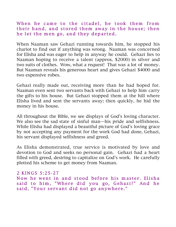When he came to the citadel, he took them from their hand, and stored them away in the house; then he let the men go, and they departed.

When Naaman saw Gehazi running towards him, he stopped his chariot to find out if anything was wrong. Naaman was concerned for Elisha and was eager to help in anyway he could. Gehazi lies to Naaman hoping to receive a talent (approx. \$2000) in silver and two suits of clothes. Wow, what a request! That was a lot of money. But Naaman reveals his generous heart and gives Gehazi \$4000 and two expensive robes.

Gehazi really made out, receiving more than he had hoped for. Naaman even sent two servants back with Gehazi to help him carry the gifts to his house. But Gehazi stopped them at the hill where Elisha lived and sent the servants away; then quickly, he hid the money in his house.

All throughout the Bible, we see displays of God's loving character. We also see the sad state of sinful man—his pride and selfishness. While Elisha had displayed a beautiful picture of God's loving grace by not accepting any payment for the work God had done, Gehazi, his servant displayed selfishness and greed.

As Elisha demonstrated, true service is motivated by love and devotion to God and seeks no personal gain. Gehazi had a heart filled with greed, desiring to capitalize on God's work. He carefully plotted his scheme to get money from Naaman.

```
2 KINGS 5:25-27
Now he went in and stood before his master. Elisha
said to him, "Where did you go, Gehazi?" And he
said, "Your servant did not go anywhere."
```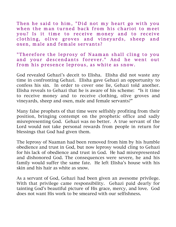Then he said to him, "Did not my heart go with you when the man turned back from his chariot to meet you? Is it time to receive money and to receive clothing, olive groves and vineyards, sheep and oxen, male and female servants?

"Therefore the leprosy of Naaman shall cling to you and your descendants forever." And he went out from his presence leprous, as white as snow.

God revealed Gehazi's deceit to Elisha. Elisha did not waste any time in confronting Gehazi. Elisha gave Gehazi an opportunity to confess his sin. In order to cover one lie, Gehazi told another. Elisha reveals to Gehazi that he is aware of his scheme: "Is it time to receive money and to receive clothing, olive groves and vineyards, sheep and oxen, male and female servants?"

Many false prophets of that time were selfishly profiting from their position, bringing contempt on the prophetic office and sadly misrepresenting God. Gehazi was no better. A true servant of the Lord would not take personal rewards from people in return for blessings that God had given them.

The leprosy of Naaman had been removed from him by his humble obedience and trust in God, but now leprosy would cling to Gehazi for his lack of obedience and trust in God. He had misrepresented and dishonored God. The consequences were severe, he and his family would suffer the same fate. He left Elisha's house with his skin and his hair as white as snow.

As a servant of God, Gehazi had been given an awesome privilege. With that privilege came responsibility. Gehazi paid dearly for tainting God's beautiful picture of His grace, mercy, and love. God does not want His work to be smeared with our selfishness.